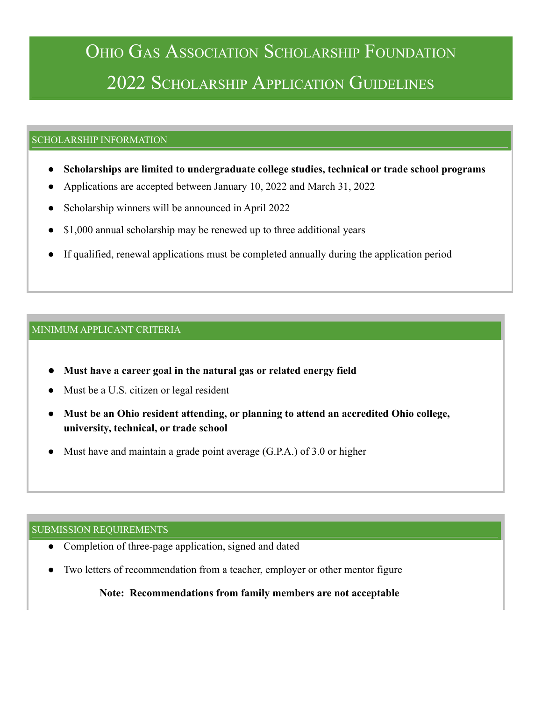# OHIO GAS ASSOCIATION SCHOLARSHIP FOUNDATION 2022 SCHOLARSHIP APPLICATION GUIDELINES

#### SCHOLARSHIP INFORMATION

- **● Scholarships are limited to undergraduate college studies, technical or trade school programs**
- Applications are accepted between January 10, 2022 and March 31, 2022
- Scholarship winners will be announced in April 2022
- \$1,000 annual scholarship may be renewed up to three additional years
- If qualified, renewal applications must be completed annually during the application period

#### MINIMUM APPLICANT CRITERIA

- **● Must have a career goal in the natural gas or related energy field**
- Must be a U.S. citizen or legal resident
- **● Must be an Ohio resident attending, or planning to attend an accredited Ohio college, university, technical, or trade school**
- Must have and maintain a grade point average  $(G.P.A.)$  of 3.0 or higher

#### SUBMISSION REQUIREMENTS

- Completion of three-page application, signed and dated
- Two letters of recommendation from a teacher, employer or other mentor figure

**Note: Recommendations from family members are not acceptable**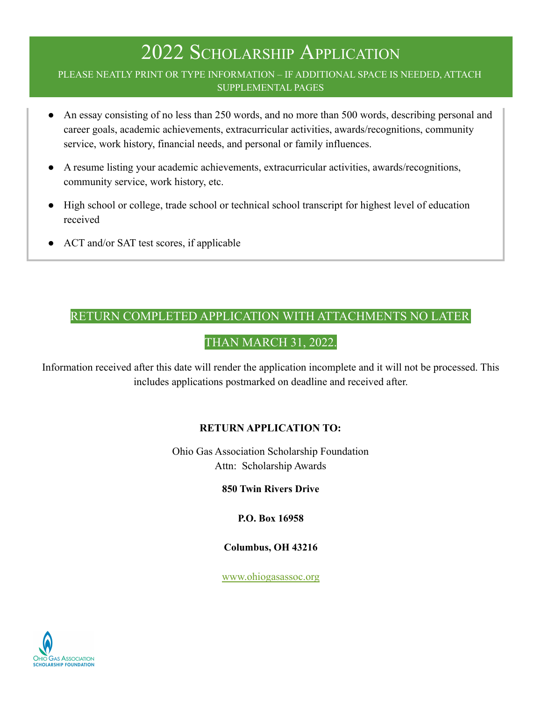#### PLEASE NEATLY PRINT OR TYPE INFORMATION – IF ADDITIONAL SPACE IS NEEDED, ATTACH SUPPLEMENTAL PAGES

- An essay consisting of no less than 250 words, and no more than 500 words, describing personal and career goals, academic achievements, extracurricular activities, awards/recognitions, community service, work history, financial needs, and personal or family influences.
- A resume listing your academic achievements, extracurricular activities, awards/recognitions, community service, work history, etc.
- High school or college, trade school or technical school transcript for highest level of education received
- ACT and/or SAT test scores, if applicable

### RETURN COMPLETED APPLICATION WITH ATTACHMENTS NO LATER

### THAN MARCH 31, 2022.

Information received after this date will render the application incomplete and it will not be processed. This includes applications postmarked on deadline and received after.

### **RETURN APPLICATION TO:**

Ohio Gas Association Scholarship Foundation Attn: Scholarship Awards

**850 Twin Rivers Drive**

**P.O. Box 16958**

#### **Columbus, OH 43216**

[www.ohiogasassoc.org](http://www.ohiogasassoc.org)

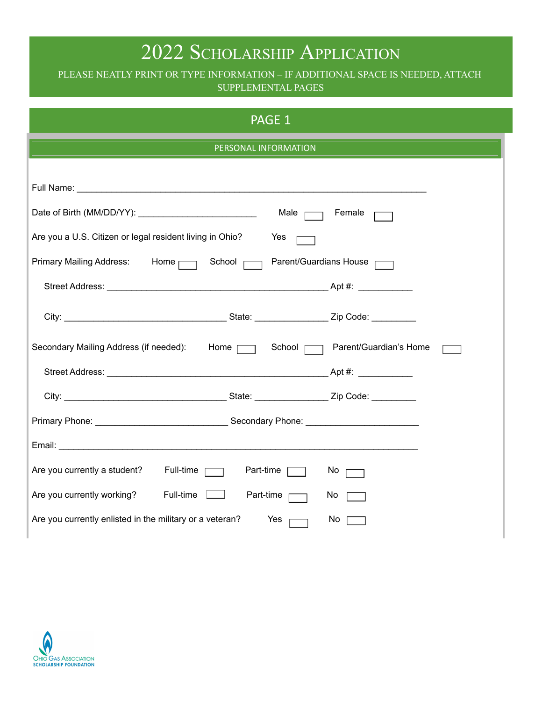### PLEASE NEATLY PRINT OR TYPE INFORMATION – IF ADDITIONAL SPACE IS NEEDED, ATTACH SUPPLEMENTAL PAGES

| PAGE 1                                                                            |  |  |  |  |
|-----------------------------------------------------------------------------------|--|--|--|--|
| PERSONAL INFORMATION                                                              |  |  |  |  |
|                                                                                   |  |  |  |  |
|                                                                                   |  |  |  |  |
| Male $\Box$<br>Female                                                             |  |  |  |  |
| Are you a U.S. Citizen or legal resident living in Ohio?<br>Yes                   |  |  |  |  |
| Primary Mailing Address: Home   School   Parent/Guardians House                   |  |  |  |  |
|                                                                                   |  |  |  |  |
|                                                                                   |  |  |  |  |
| Secondary Mailing Address (if needed): Home [ ] School [ ] Parent/Guardian's Home |  |  |  |  |
|                                                                                   |  |  |  |  |
|                                                                                   |  |  |  |  |
|                                                                                   |  |  |  |  |
|                                                                                   |  |  |  |  |
| Are you currently a student? Full-time<br>Part-time $\Box$<br>$No \frown$         |  |  |  |  |
| Are you currently working? Full-time $\Box$<br>Part-time $\Box$<br>No             |  |  |  |  |
| Are you currently enlisted in the military or a veteran?<br>No<br>Yes             |  |  |  |  |

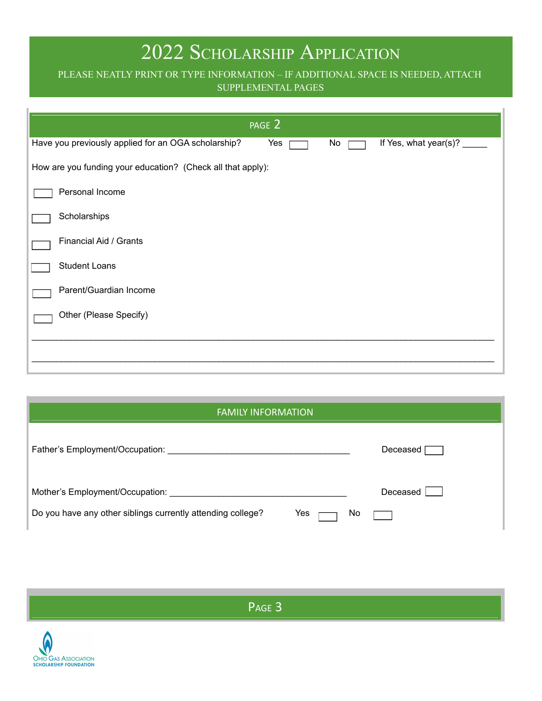### PLEASE NEATLY PRINT OR TYPE INFORMATION – IF ADDITIONAL SPACE IS NEEDED, ATTACH SUPPLEMENTAL PAGES

|                                                             | PAGE 2 |    |                       |
|-------------------------------------------------------------|--------|----|-----------------------|
| Have you previously applied for an OGA scholarship?         | Yes    | No | If Yes, what year(s)? |
| How are you funding your education? (Check all that apply): |        |    |                       |
| Personal Income                                             |        |    |                       |
| Scholarships                                                |        |    |                       |
| Financial Aid / Grants                                      |        |    |                       |
| <b>Student Loans</b>                                        |        |    |                       |
| Parent/Guardian Income                                      |        |    |                       |
| Other (Please Specify)                                      |        |    |                       |
|                                                             |        |    |                       |
|                                                             |        |    |                       |

| <b>FAMILY INFORMATION</b>                                          |            |
|--------------------------------------------------------------------|------------|
| Father's Employment/Occupation:                                    | Deceased   |
| Mother's Employment/Occupation:                                    | Deceased I |
| Do you have any other siblings currently attending college?<br>Yes | No         |

P<sub>AGE</sub> 3

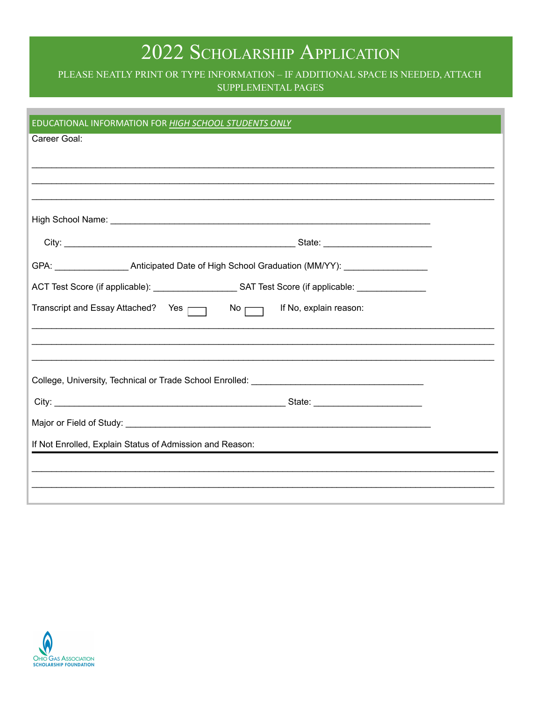PLEASE NEATLY PRINT OR TYPE INFORMATION - IF ADDITIONAL SPACE IS NEEDED, ATTACH SUPPLEMENTAL PAGES

| EDUCATIONAL INFORMATION FOR HIGH SCHOOL STUDENTS ONLY                                               |  |  |
|-----------------------------------------------------------------------------------------------------|--|--|
| Career Goal:                                                                                        |  |  |
|                                                                                                     |  |  |
|                                                                                                     |  |  |
|                                                                                                     |  |  |
|                                                                                                     |  |  |
|                                                                                                     |  |  |
|                                                                                                     |  |  |
| ACT Test Score (if applicable): ________________________SAT Test Score (if applicable: ____________ |  |  |
| Transcript and Essay Attached? Yes $\Box$ No $\Box$ If No, explain reason:                          |  |  |
|                                                                                                     |  |  |
|                                                                                                     |  |  |
| College, University, Technical or Trade School Enrolled: ________________________                   |  |  |
|                                                                                                     |  |  |
|                                                                                                     |  |  |
| If Not Enrolled, Explain Status of Admission and Reason:                                            |  |  |
|                                                                                                     |  |  |
|                                                                                                     |  |  |
|                                                                                                     |  |  |